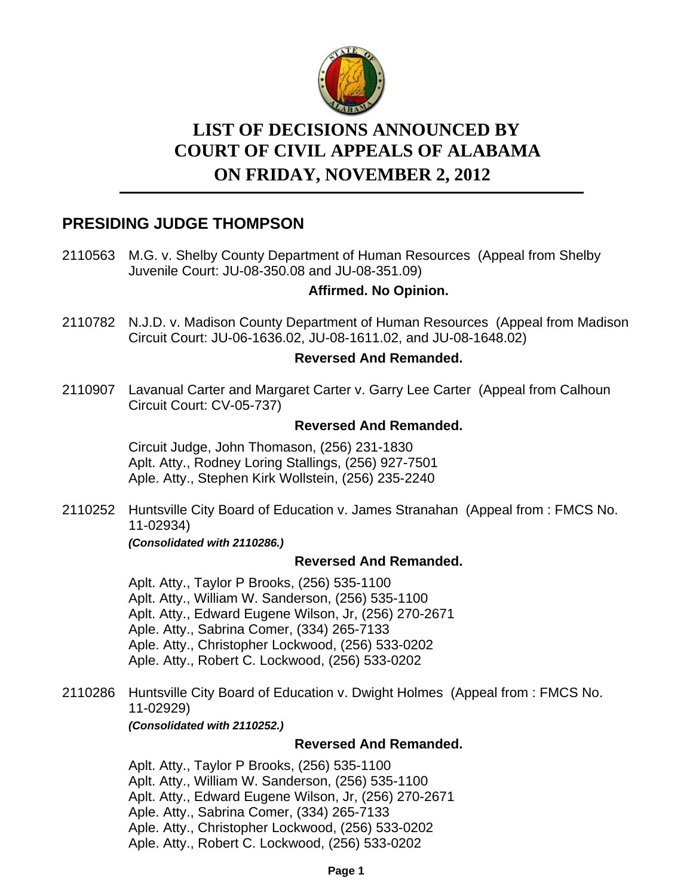

# **LIST OF DECISIONS ANNOUNCED BY ON FRIDAY, NOVEMBER 2, 2012 COURT OF CIVIL APPEALS OF ALABAMA**

# **PRESIDING JUDGE THOMPSON**

2110563 M.G. v. Shelby County Department of Human Resources (Appeal from Shelby Juvenile Court: JU-08-350.08 and JU-08-351.09)

# **Affirmed. No Opinion.**

2110782 N.J.D. v. Madison County Department of Human Resources (Appeal from Madison Circuit Court: JU-06-1636.02, JU-08-1611.02, and JU-08-1648.02)

# **Reversed And Remanded.**

2110907 Lavanual Carter and Margaret Carter v. Garry Lee Carter (Appeal from Calhoun Circuit Court: CV-05-737)

# **Reversed And Remanded.**

Circuit Judge, John Thomason, (256) 231-1830 Aplt. Atty., Rodney Loring Stallings, (256) 927-7501 Aple. Atty., Stephen Kirk Wollstein, (256) 235-2240

2110252 Huntsville City Board of Education v. James Stranahan (Appeal from: FMCS No. 11-02934)

*(Consolidated with 2110286.)*

# **Reversed And Remanded.**

Aplt. Atty., Taylor P Brooks, (256) 535-1100 Aplt. Atty., William W. Sanderson, (256) 535-1100 Aplt. Atty., Edward Eugene Wilson, Jr, (256) 270-2671 Aple. Atty., Sabrina Comer, (334) 265-7133 Aple. Atty., Christopher Lockwood, (256) 533-0202 Aple. Atty., Robert C. Lockwood, (256) 533-0202

2110286 Huntsville City Board of Education v. Dwight Holmes (Appeal from: FMCS No. 11-02929)

*(Consolidated with 2110252.)*

# **Reversed And Remanded.**

Aplt. Atty., Taylor P Brooks, (256) 535-1100 Aplt. Atty., William W. Sanderson, (256) 535-1100 Aplt. Atty., Edward Eugene Wilson, Jr, (256) 270-2671 Aple. Atty., Sabrina Comer, (334) 265-7133 Aple. Atty., Christopher Lockwood, (256) 533-0202 Aple. Atty., Robert C. Lockwood, (256) 533-0202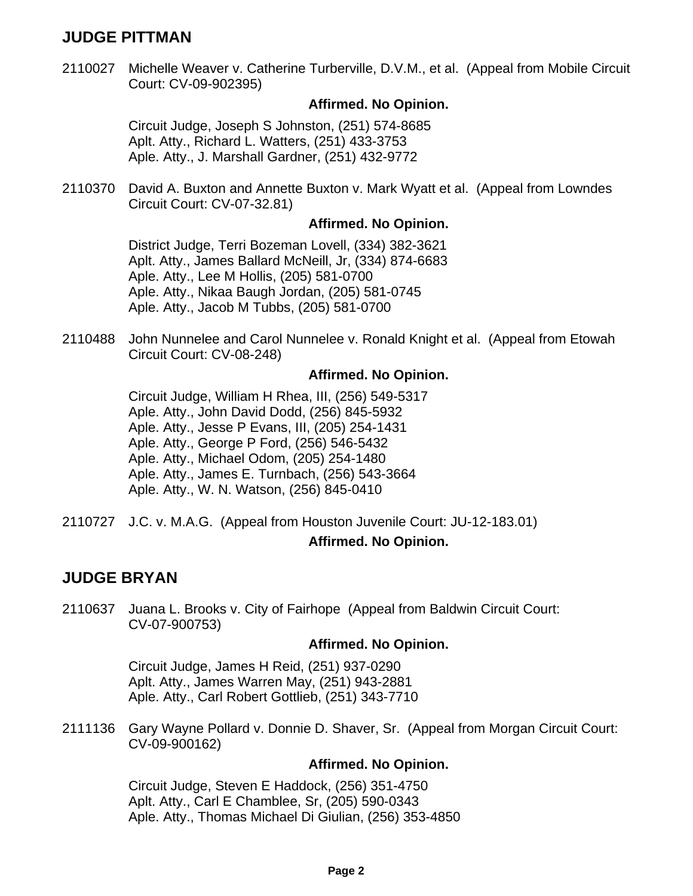# **JUDGE PITTMAN**

2110027 Michelle Weaver v. Catherine Turberville, D.V.M., et al. (Appeal from Mobile Circuit Court: CV-09-902395)

#### **Affirmed. No Opinion.**

Circuit Judge, Joseph S Johnston, (251) 574-8685 Aplt. Atty., Richard L. Watters, (251) 433-3753 Aple. Atty., J. Marshall Gardner, (251) 432-9772

2110370 David A. Buxton and Annette Buxton v. Mark Wyatt et al. (Appeal from Lowndes Circuit Court: CV-07-32.81)

### **Affirmed. No Opinion.**

District Judge, Terri Bozeman Lovell, (334) 382-3621 Aplt. Atty., James Ballard McNeill, Jr, (334) 874-6683 Aple. Atty., Lee M Hollis, (205) 581-0700 Aple. Atty., Nikaa Baugh Jordan, (205) 581-0745 Aple. Atty., Jacob M Tubbs, (205) 581-0700

2110488 John Nunnelee and Carol Nunnelee v. Ronald Knight et al. (Appeal from Etowah Circuit Court: CV-08-248)

#### **Affirmed. No Opinion.**

Circuit Judge, William H Rhea, III, (256) 549-5317 Aple. Atty., John David Dodd, (256) 845-5932 Aple. Atty., Jesse P Evans, III, (205) 254-1431 Aple. Atty., George P Ford, (256) 546-5432 Aple. Atty., Michael Odom, (205) 254-1480 Aple. Atty., James E. Turnbach, (256) 543-3664 Aple. Atty., W. N. Watson, (256) 845-0410

2110727 J.C. v. M.A.G. (Appeal from Houston Juvenile Court: JU-12-183.01)

# **Affirmed. No Opinion.**

# **JUDGE BRYAN**

2110637 Juana L. Brooks v. City of Fairhope (Appeal from Baldwin Circuit Court: CV-07-900753)

#### **Affirmed. No Opinion.**

Circuit Judge, James H Reid, (251) 937-0290 Aplt. Atty., James Warren May, (251) 943-2881 Aple. Atty., Carl Robert Gottlieb, (251) 343-7710

2111136 Gary Wayne Pollard v. Donnie D. Shaver, Sr. (Appeal from Morgan Circuit Court: CV-09-900162)

#### **Affirmed. No Opinion.**

Circuit Judge, Steven E Haddock, (256) 351-4750 Aplt. Atty., Carl E Chamblee, Sr, (205) 590-0343 Aple. Atty., Thomas Michael Di Giulian, (256) 353-4850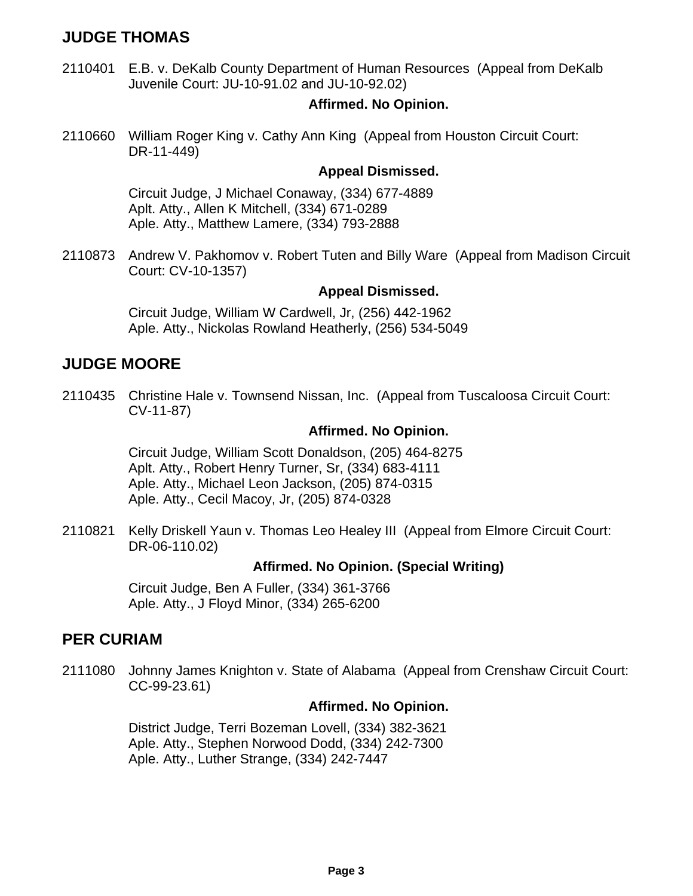# **JUDGE THOMAS**

2110401 E.B. v. DeKalb County Department of Human Resources (Appeal from DeKalb Juvenile Court: JU-10-91.02 and JU-10-92.02)

# **Affirmed. No Opinion.**

2110660 William Roger King v. Cathy Ann King (Appeal from Houston Circuit Court: DR-11-449)

### **Appeal Dismissed.**

Circuit Judge, J Michael Conaway, (334) 677-4889 Aplt. Atty., Allen K Mitchell, (334) 671-0289 Aple. Atty., Matthew Lamere, (334) 793-2888

2110873 Andrew V. Pakhomov v. Robert Tuten and Billy Ware (Appeal from Madison Circuit Court: CV-10-1357)

### **Appeal Dismissed.**

Circuit Judge, William W Cardwell, Jr, (256) 442-1962 Aple. Atty., Nickolas Rowland Heatherly, (256) 534-5049

# **JUDGE MOORE**

2110435 Christine Hale v. Townsend Nissan, Inc. (Appeal from Tuscaloosa Circuit Court: CV-11-87)

# **Affirmed. No Opinion.**

Circuit Judge, William Scott Donaldson, (205) 464-8275 Aplt. Atty., Robert Henry Turner, Sr, (334) 683-4111 Aple. Atty., Michael Leon Jackson, (205) 874-0315 Aple. Atty., Cecil Macoy, Jr, (205) 874-0328

2110821 Kelly Driskell Yaun v. Thomas Leo Healey III (Appeal from Elmore Circuit Court: DR-06-110.02)

# **Affirmed. No Opinion. (Special Writing)**

Circuit Judge, Ben A Fuller, (334) 361-3766 Aple. Atty., J Floyd Minor, (334) 265-6200

# **PER CURIAM**

2111080 Johnny James Knighton v. State of Alabama (Appeal from Crenshaw Circuit Court: CC-99-23.61)

#### **Affirmed. No Opinion.**

District Judge, Terri Bozeman Lovell, (334) 382-3621 Aple. Atty., Stephen Norwood Dodd, (334) 242-7300 Aple. Atty., Luther Strange, (334) 242-7447